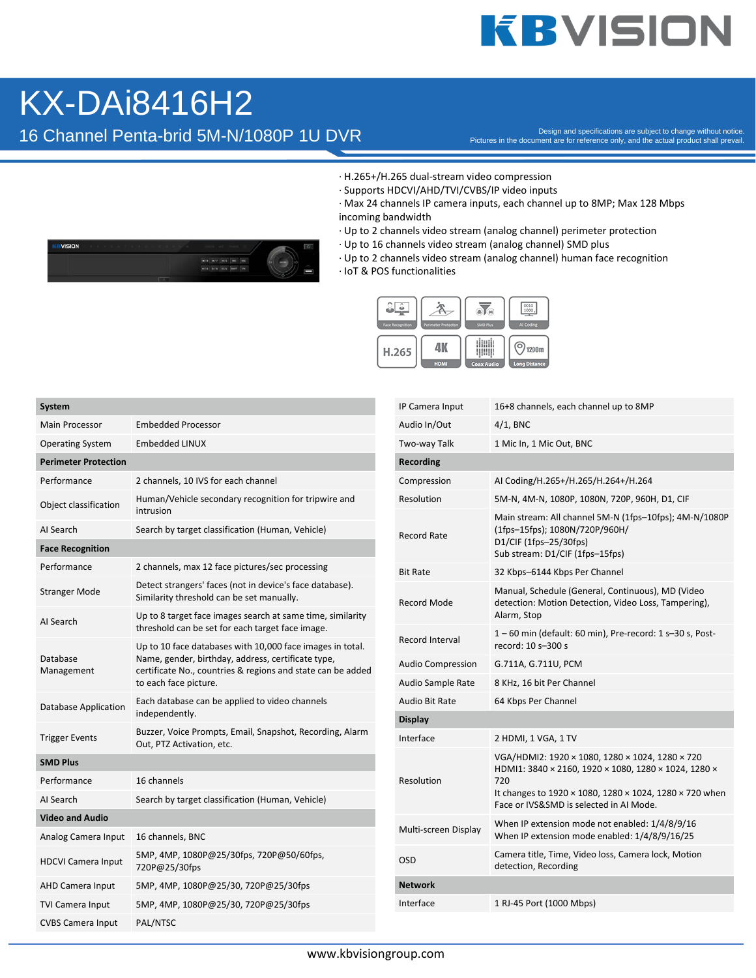## **KBVISION**

## KX-DAi8416H2

16 Channel Penta-brid 5M-N/1080P 1U DVR

Pictures in the document are for reference only, and the actual product shall prevail.

- · H.265+/H.265 dual-stream video compression
- · Supports HDCVI/AHD/TVI/CVBS/IP video inputs
- · Max 24 channels IP camera inputs, each channel up to 8MP; Max 128 Mbps incoming bandwidth
- · Up to 2 channels video stream (analog channel) perimeter protection
- · Up to 16 channels video stream (analog channel) SMD plus
- · Up to 2 channels video stream (analog channel) human face recognition
- · IoT & POS functionalities



| System                      |                                                                                                                                                                                                         |  |  |  |
|-----------------------------|---------------------------------------------------------------------------------------------------------------------------------------------------------------------------------------------------------|--|--|--|
| <b>Main Processor</b>       | Embedded Processor                                                                                                                                                                                      |  |  |  |
| <b>Operating System</b>     | Embedded LINUX                                                                                                                                                                                          |  |  |  |
| <b>Perimeter Protection</b> |                                                                                                                                                                                                         |  |  |  |
| Performance                 | 2 channels, 10 IVS for each channel                                                                                                                                                                     |  |  |  |
| Object classification       | Human/Vehicle secondary recognition for tripwire and<br>intrusion                                                                                                                                       |  |  |  |
| AI Search                   | Search by target classification (Human, Vehicle)                                                                                                                                                        |  |  |  |
| <b>Face Recognition</b>     |                                                                                                                                                                                                         |  |  |  |
| Performance                 | 2 channels, max 12 face pictures/sec processing                                                                                                                                                         |  |  |  |
| <b>Stranger Mode</b>        | Detect strangers' faces (not in device's face database).<br>Similarity threshold can be set manually.                                                                                                   |  |  |  |
| AI Search                   | Up to 8 target face images search at same time, similarity<br>threshold can be set for each target face image.                                                                                          |  |  |  |
| Database<br>Management      | Up to 10 face databases with 10,000 face images in total.<br>Name, gender, birthday, address, certificate type,<br>certificate No., countries & regions and state can be added<br>to each face picture. |  |  |  |
| Database Application        | Each database can be applied to video channels<br>independently.                                                                                                                                        |  |  |  |
| <b>Trigger Events</b>       | Buzzer, Voice Prompts, Email, Snapshot, Recording, Alarm<br>Out, PTZ Activation, etc.                                                                                                                   |  |  |  |
| <b>SMD Plus</b>             |                                                                                                                                                                                                         |  |  |  |
| Performance                 | 16 channels                                                                                                                                                                                             |  |  |  |
| AI Search                   | Search by target classification (Human, Vehicle)                                                                                                                                                        |  |  |  |
| <b>Video and Audio</b>      |                                                                                                                                                                                                         |  |  |  |
| Analog Camera Input         | 16 channels, BNC                                                                                                                                                                                        |  |  |  |
| <b>HDCVI Camera Input</b>   | 5MP, 4MP, 1080P@25/30fps, 720P@50/60fps,<br>720P@25/30fps                                                                                                                                               |  |  |  |
| <b>AHD Camera Input</b>     | 5MP, 4MP, 1080P@25/30, 720P@25/30fps                                                                                                                                                                    |  |  |  |
| <b>TVI Camera Input</b>     | 5MP, 4MP, 1080P@25/30, 720P@25/30fps                                                                                                                                                                    |  |  |  |
| <b>CVBS Camera Input</b>    | PAL/NTSC                                                                                                                                                                                                |  |  |  |

| IP Camera Input          | 16+8 channels, each channel up to 8MP                                                                                                                                                                                                     |
|--------------------------|-------------------------------------------------------------------------------------------------------------------------------------------------------------------------------------------------------------------------------------------|
| Audio In/Out             | $4/1$ , BNC                                                                                                                                                                                                                               |
| Two-way Talk             | 1 Mic In, 1 Mic Out, BNC                                                                                                                                                                                                                  |
| Recording                |                                                                                                                                                                                                                                           |
| Compression              | AI Coding/H.265+/H.265/H.264+/H.264                                                                                                                                                                                                       |
| Resolution               | 5M-N, 4M-N, 1080P, 1080N, 720P, 960H, D1, CIF                                                                                                                                                                                             |
| <b>Record Rate</b>       | Main stream: All channel 5M-N (1fps-10fps); 4M-N/1080P<br>(1fps-15fps); 1080N/720P/960H/<br>D1/CIF (1fps-25/30fps)<br>Sub stream: D1/CIF (1fps-15fps)                                                                                     |
| <b>Bit Rate</b>          | 32 Kbps-6144 Kbps Per Channel                                                                                                                                                                                                             |
| <b>Record Mode</b>       | Manual, Schedule (General, Continuous), MD (Video<br>detection: Motion Detection, Video Loss, Tampering),<br>Alarm, Stop                                                                                                                  |
| Record Interval          | 1-60 min (default: 60 min), Pre-record: 1 s-30 s, Post-<br>record: 10 s-300 s                                                                                                                                                             |
| <b>Audio Compression</b> | G.711A, G.711U, PCM                                                                                                                                                                                                                       |
| Audio Sample Rate        | 8 KHz, 16 bit Per Channel                                                                                                                                                                                                                 |
| Audio Bit Rate           | 64 Kbps Per Channel                                                                                                                                                                                                                       |
| <b>Display</b>           |                                                                                                                                                                                                                                           |
| Interface                | 2 HDMI, 1 VGA, 1 TV                                                                                                                                                                                                                       |
| Resolution               | VGA/HDMI2: 1920 × 1080, 1280 × 1024, 1280 × 720<br>HDMI1: 3840 × 2160, 1920 × 1080, 1280 × 1024, 1280 ×<br>720<br>It changes to 1920 $\times$ 1080, 1280 $\times$ 1024, 1280 $\times$ 720 when<br>Face or IVS&SMD is selected in AI Mode. |
| Multi-screen Display     | When IP extension mode not enabled: 1/4/8/9/16<br>When IP extension mode enabled: 1/4/8/9/16/25                                                                                                                                           |
| OSD                      | Camera title, Time, Video loss, Camera lock, Motion<br>detection, Recording                                                                                                                                                               |
| <b>Network</b>           |                                                                                                                                                                                                                                           |
| Interface                | 1 RJ-45 Port (1000 Mbps)                                                                                                                                                                                                                  |